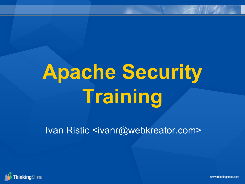# **Apache Security Training**

Ivan Ristic <ivanr@webkreator.com>



www.thinkingstone.com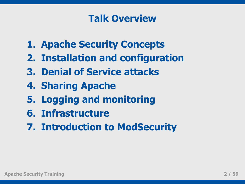#### **Talk Overview**

- **1. Apache Security Concepts**
- **2. Installation and configuration**
- **3. Denial of Service attacks**
- **4. Sharing Apache**
- **5. Logging and monitoring**
- **6. Infrastructure**
- **7. Introduction to ModSecurity**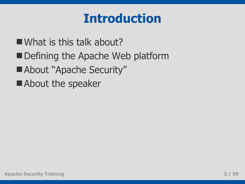# **Introduction**

What is this talk about?

- Defining the Apache Web platform
- About "Apache Security"
- About the speaker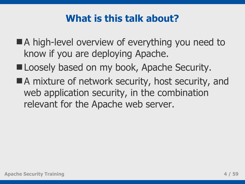### **What is this talk about?**

- A high-level overview of everything you need to know if you are deploying Apache.
- Loosely based on my book, Apache Security.
- A mixture of network security, host security, and web application security, in the combination relevant for the Apache web server.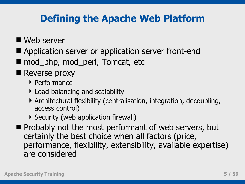### **Defining the Apache Web Platform**

#### Web server

- Application server or application server front-end
- mod\_php, mod\_perl, Tomcat, etc

#### Reverse proxy

- ▶ Performance
- Load balancing and scalability
- Architectural flexibility (centralisation, integration, decoupling, access control)
- Security (web application firewall)
- $\blacksquare$  Probably not the most performant of web servers, but certainly the best choice when all factors (price, performance, flexibility, extensibility, available expertise) are considered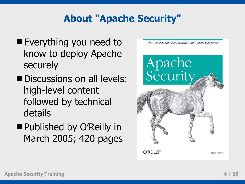# **About "Apache Security"**

- Everything you need to know to deploy Apache securely
- Discussions on all levels: high-level content followed by technical details
- Published by O'Reilly in March 2005; 420 pages

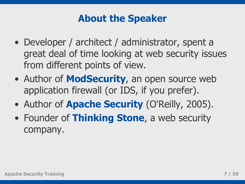### **About the Speaker**

- Developer / architect / administrator, spent a great deal of time looking at web security issues from different points of view.
- Author of **ModSecurity**, an open source web application firewall (or IDS, if you prefer).
- Author of **Apache Security** (O'Reilly, 2005).
- Founder of **Thinking Stone**, a web security company.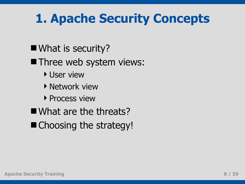# **1. Apache Security Concepts**

- What is security?
- **Three web system views:** 
	- ▶ User view
	- **Network view**
	- **Process view**
- What are the threats?
- Choosing the strategy!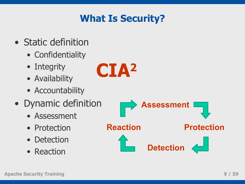# **What Is Security?**

**CIA<sup>2</sup>**

- Static definition
	- Confidentiality
	- Integrity
	- Availability
	- Accountability
- Dynamic definition
	- Assessment
	- Protection
	- Detection
	- Reaction

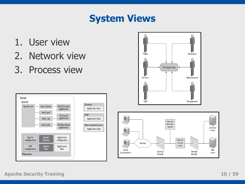#### **System Views**

- 1. User view
- 2. Network view
- 3. Process view



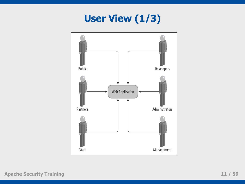# **User View (1/3)**

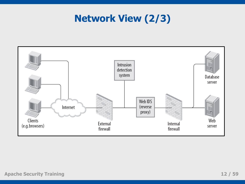# **Network View (2/3)**

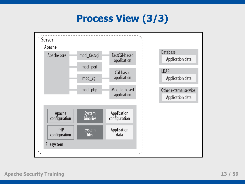# **Process View (3/3)**

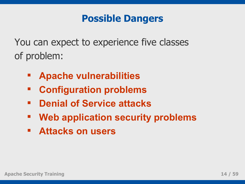#### **Possible Dangers**

You can expect to experience five classes of problem:

- **Apache vulnerabilities**
- **Configuration problems**
- **Denial of Service attacks**
- **Web application security problems**
- **Attacks on users**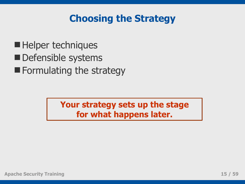#### **Choosing the Strategy**

Helper techniques Defensible systems **Formulating the strategy** 

> **Your strategy sets up the stage for what happens later.**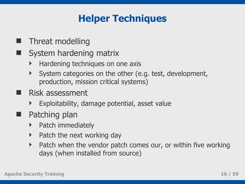# **Helper Techniques**

- **Threat modelling**
- System hardening matrix
	- Hardening techniques on one axis
	- System categories on the other (e.g. test, development, production, mission critical systems)
- **Risk assessment** 
	- Exploitability, damage potential, asset value
- **Patching plan** 
	- Patch immediately
	- $\triangleright$  Patch the next working day
	- Patch when the vendor patch comes our, or within five working days (when installed from source)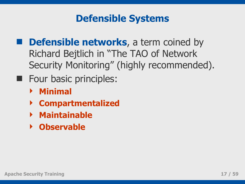#### **Defensible Systems**

- **n** Defensible networks, a term coined by Richard Bejtlich in "The TAO of Network Security Monitoring" (highly recommended).
- **Four basic principles:** 
	- **Minimal**
	- **Compartmentalized**
	- **Maintainable**
	- **Observable**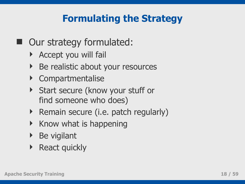# **Formulating the Strategy**

- Our strategy formulated:
	- Accept you will fail
	- ▶ Be realistic about your resources
	- Compartmentalise
	- Start secure (know your stuff or find someone who does)
	- $\triangleright$  Remain secure (i.e. patch regularly)
	- $\triangleright$  Know what is happening
	- $\triangleright$  Be vigilant
	- ▶ React quickly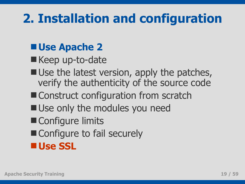# **2. Installation and configuration**

# **Use Apache 2**

- Keep up-to-date
- Use the latest version, apply the patches, verify the authenticity of the source code
- Construct configuration from scratch
- Use only the modules you need
- Configure limits
- Configure to fail securely

**Use SSL**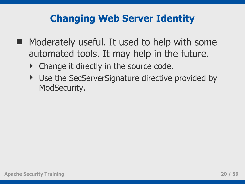### **Changing Web Server Identity**

- $\blacksquare$  Moderately useful. It used to help with some automated tools. It may help in the future.
	- Change it directly in the source code.
	- ▶ Use the SecServerSignature directive provided by ModSecurity.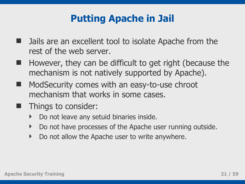### **Putting Apache in Jail**

- Jails are an excellent tool to isolate Apache from the rest of the web server.
- $\blacksquare$  However, they can be difficult to get right (because the mechanism is not natively supported by Apache).
- ModSecurity comes with an easy-to-use chroot mechanism that works in some cases.
- **Things to consider:** 
	- Do not leave any setuid binaries inside.
	- Do not have processes of the Apache user running outside.
	- Do not allow the Apache user to write anywhere.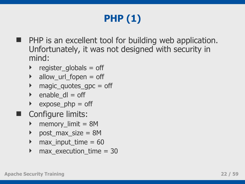# **PHP (1)**

- **PHP** is an excellent tool for building web application. Unfortunately, it was not designed with security in mind:
	- $\triangleright$  register\_globals = off
	- $\blacktriangleright$  allow\_url\_fopen = off
	- magic\_quotes\_gpc = off
	- $\rightarrow$  enable dl = off
	- $\rightarrow$  expose\_php = off
- Configure limits:
	- ▶ memory\_limit = 8M
	- post\_max\_size = 8M
	- $max$  input\_time = 60
	- max\_execution\_time = 30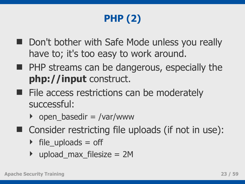# **PHP (2)**

- Don't bother with Safe Mode unless you really have to; it's too easy to work around.
- **PHP streams can be dangerous, especially the php://input** construct.
- $\blacksquare$  File access restrictions can be moderately successful:
	- $\rightarrow$  open\_basedir = /var/www
- Consider restricting file uploads (if not in use):
	- $\triangleright$  file\_uploads = off
	- upload\_max\_filesize = 2M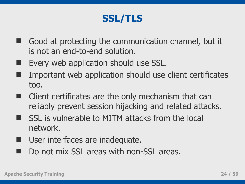### **SSL/TLS**

- Good at protecting the communication channel, but it is not an end-to-end solution.
- Every web application should use SSL.
- Important web application should use client certificates too.
- **E** Client certificates are the only mechanism that can reliably prevent session hijacking and related attacks.
- SSL is vulnerable to MITM attacks from the local network.
- User interfaces are inadequate.
- Do not mix SSL areas with non-SSL areas.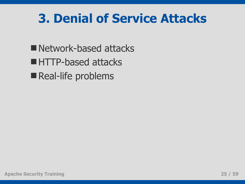# **3. Denial of Service Attacks**

■ Network-based attacks ■ HTTP-based attacks Real-life problems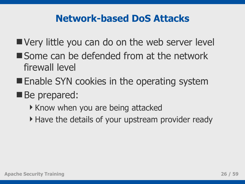#### **Network-based DoS Attacks**

- Very little you can do on the web server level
- Some can be defended from at the network firewall level
- **Enable SYN cookies in the operating system**
- Be prepared:
	- ▶ Know when you are being attacked
	- Have the details of your upstream provider ready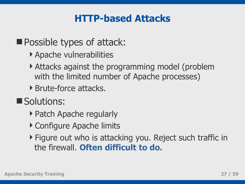### **HTTP-based Attacks**

**Possible types of attack:** 

- Apache vulnerabilities
- Attacks against the programming model (problem with the limited number of Apache processes)
- Brute-force attacks.
- Solutions:
	- ▶ Patch Apache regularly
	- ▶ Configure Apache limits
	- ▶ Figure out who is attacking you. Reject such traffic in the firewall. **Often difficult to do.**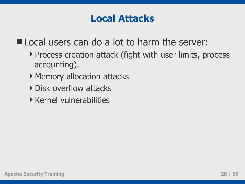#### **Local Attacks**

Local users can do a lot to harm the server:

- ▶ Process creation attack (fight with user limits, process accounting).
- ▶ Memory allocation attacks
- **Disk overflow attacks**
- $\triangleright$  Kernel vulnerabilities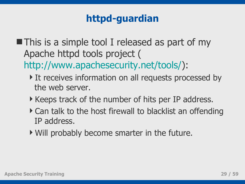# **httpd-guardian**

- $\blacksquare$  This is a simple tool I released as part of my Apache httpd tools project ( [http://www.apachesecurity.net/tools/\)](http://www.apachesecurity.net/tools/):
	- It receives information on all requests processed by the web server.
	- Keeps track of the number of hits per IP address.
	- ▶ Can talk to the host firewall to blacklist an offending IP address.
	- Will probably become smarter in the future.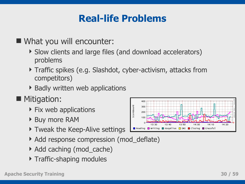# **Real-life Problems**

#### ■ What you will encounter:

- Slow clients and large files (and download accelerators) problems
- ▶ Traffic spikes (e.g. Slashdot, cyber-activism, attacks from competitors)
- ▶ Badly written web applications
- **Mitigation:** 
	- $\triangleright$  Fix web applications
	- ▶ Buy more RAM
	- ▶ Tweak the Keep-Alive settings
	- ▶ Add response compression (mod\_deflate)
	- ▶ Add caching (mod\_cache)
	- **Traffic-shaping modules**

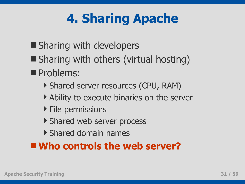# **4. Sharing Apache**

- **Sharing with developers**
- Sharing with others (virtual hosting)
- **Problems:** 
	- Shared server resources (CPU, RAM)
	- Ability to execute binaries on the server
	- $\triangleright$  File permissions
	- ▶ Shared web server process
	- Shared domain names

### **Who controls the web server?**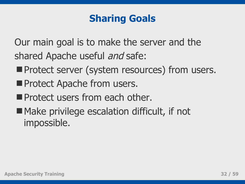### **Sharing Goals**

Our main goal is to make the server and the shared Apache useful and safe:

- **Protect server (system resources) from users.**
- **Protect Apache from users.**
- **Protect users from each other.**
- Make privilege escalation difficult, if not impossible.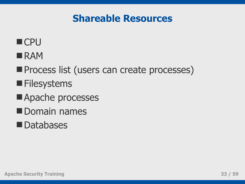#### **Shareable Resources**

### **CPU**

- **RAM**
- **Process list (users can create processes)**
- **Filesystems**
- Apache processes
- Domain names
- **Databases**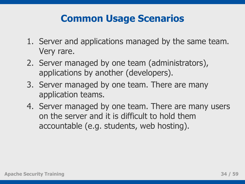### **Common Usage Scenarios**

- 1. Server and applications managed by the same team. Very rare.
- 2. Server managed by one team (administrators), applications by another (developers).
- 3. Server managed by one team. There are many application teams.
- 4. Server managed by one team. There are many users on the server and it is difficult to hold them accountable (e.g. students, web hosting).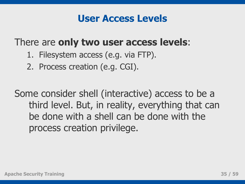#### **User Access Levels**

#### There are **only two user access levels**:

- 1. Filesystem access (e.g. via FTP).
- 2. Process creation (e.g. CGI).

Some consider shell (interactive) access to be a third level. But, in reality, everything that can be done with a shell can be done with the process creation privilege.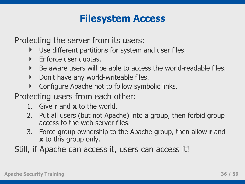#### **Filesystem Access**

Protecting the server from its users:

- Use different partitions for system and user files.
- **Enforce user quotas.**
- Be aware users will be able to access the world-readable files.
- Don't have any world-writeable files.
- Configure Apache not to follow symbolic links.
- Protecting users from each other:
	- 1. Give **r** and **x** to the world.
	- 2. Put all users (but not Apache) into a group, then forbid group access to the web server files.
	- 3. Force group ownership to the Apache group, then allow **r** and **x** to this group only.
- Still, if Apache can access it, users can access it!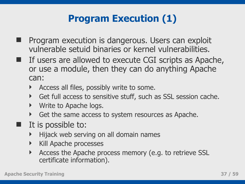# **Program Execution (1)**

- Program execution is dangerous. Users can exploit vulnerable setuid binaries or kernel vulnerabilities.
- If users are allowed to execute CGI scripts as Apache, or use a module, then they can do anything Apache can:
	- Access all files, possibly write to some.
	- Get full access to sensitive stuff, such as SSL session cache.
	- Write to Apache logs.
	- Get the same access to system resources as Apache.
- It is possible to:
	- Hijack web serving on all domain names
	- **Kill Apache processes**
	- Access the Apache process memory (e.g. to retrieve SSL certificate information).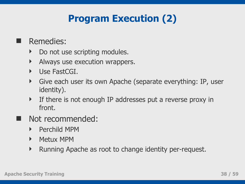# **Program Execution (2)**

- **Remedies:** 
	- Do not use scripting modules.
	- Always use execution wrappers.
	- Use FastCGI.
	- Give each user its own Apache (separate everything: IP, user identity).
	- If there is not enough IP addresses put a reverse proxy in front.
- Not recommended:
	- **Perchild MPM**
	- Metux MPM
	- Running Apache as root to change identity per-request.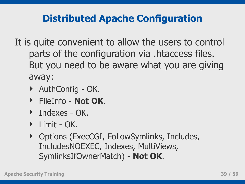# **Distributed Apache Configuration**

- It is quite convenient to allow the users to control parts of the configuration via .htaccess files. But you need to be aware what you are giving away:
	- ▶ AuthConfig OK.
	- FileInfo **Not OK**.
	- **Indexes OK.**
	- Limit OK.
	- ▶ Options (ExecCGI, FollowSymlinks, Includes, IncludesNOEXEC, Indexes, MultiViews, SymlinksIfOwnerMatch) - **Not OK**.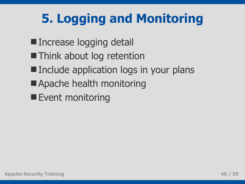# **5. Logging and Monitoring**

- **Increase logging detail**
- **Think about log retention**
- Include application logs in your plans
- **Apache health monitoring**
- **Event monitoring**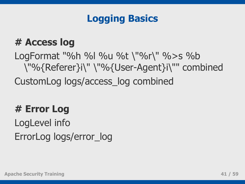### **Logging Basics**

#### **# Access log**

LogFormat "%h %l %u %t \"%r\" %>s %b \"%{Referer}i\" \"%{User-Agent}i\"" combined CustomLog logs/access\_log combined

# **# Error Log**

LogLevel info ErrorLog logs/error\_log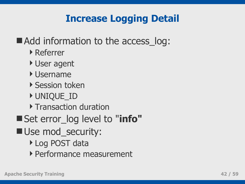# **Increase Logging Detail**

### ■ Add information to the access log:

- Referrer
- User agent
- Username
- ▶ Session token
- UNIQUE\_ID
- **Transaction duration**
- Set error\_log level to "**info"**
- Use mod\_security:
	- ▶ Log POST data
	- Performance measurement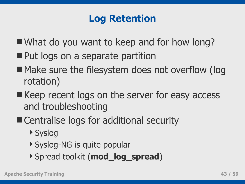# **Log Retention**

- What do you want to keep and for how long?
- Put logs on a separate partition
- Make sure the filesystem does not overflow (log rotation)
- Keep recent logs on the server for easy access and troubleshooting
- Centralise logs for additional security
	- ▶ Syslog
	- ▶ Syslog-NG is quite popular
	- Spread toolkit (**mod\_log\_spread**)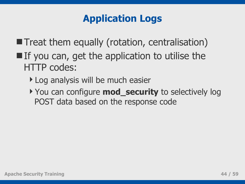# **Application Logs**

- **Treat them equally (rotation, centralisation)**
- $\blacksquare$  If you can, get the application to utilise the HTTP codes:
	- Log analysis will be much easier
	- ▶ You can configure **mod\_security** to selectively log POST data based on the response code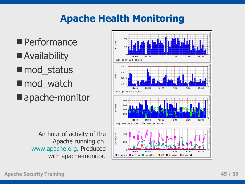# **Apache Health Monitoring**

**Performance Availability mod\_status** ■ mod\_watch ■ apache-monitor

> An hour of activity of the Apache running on [www.apache.org.](http://www.apache.org/) Produced with apache-monitor.

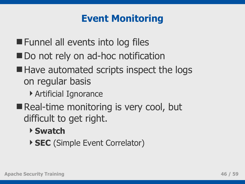# **Event Monitoring**

- **Funnel all events into log files**
- Do not rely on ad-hoc notification
- Have automated scripts inspect the logs on regular basis
	- Artificial Ignorance
- Real-time monitoring is very cool, but difficult to get right.
	- **Swatch**
	- **SEC** (Simple Event Correlator)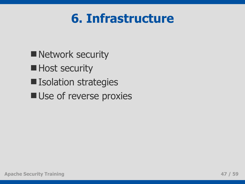# **6. Infrastructure**

- **Network security**
- **Host security**
- **Isolation strategies**
- **Use of reverse proxies**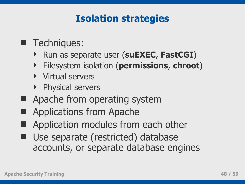### **Isolation strategies**

#### **Techniques:**

- Run as separate user (**suEXEC**, **FastCGI**)
- Filesystem isolation (**permissions**, **chroot**)
- Virtual servers
- ▶ Physical servers
- Apache from operating system
- Applications from Apache
- Application modules from each other
- **Use separate (restricted) database** accounts, or separate database engines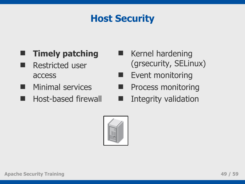# **Host Security**

#### **Timely patching**

- Restricted user access
- Minimal services
- **Host-based firewall**
- **Kernel hardening** (grsecurity, SELinux)
- **Event monitoring**
- Process monitoring
- Integrity validation

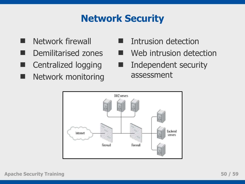# **Network Security**

- **Network firewall**
- Demilitarised zones
- Centralized logging
- Network monitoring
- **Intrusion detection**
- Web intrusion detection
- **Independent security** assessment

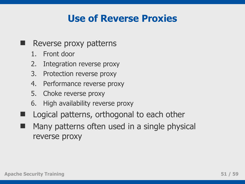### **Use of Reverse Proxies**

- **Reverse proxy patterns** 
	- 1. Front door
	- 2. Integration reverse proxy
	- 3. Protection reverse proxy
	- 4. Performance reverse proxy
	- 5. Choke reverse proxy
	- 6. High availability reverse proxy
- Logical patterns, orthogonal to each other
	- Many patterns often used in a single physical reverse proxy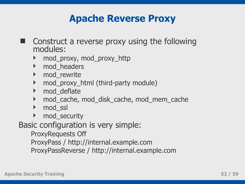#### **Apache Reverse Proxy**

- Construct a reverse proxy using the following modules:
	- mod\_proxy, mod\_proxy\_http
	- **M** mod headers
	- ▶ mod\_rewrite
	- mod\_proxy\_html (third-party module)
	- ▶ mod deflate
	- mod\_cache, mod\_disk\_cache, mod\_mem\_cache
	- ▶ mod\_ssl
	- ▶ mod\_security

Basic configuration is very simple:

ProxyRequests Off

ProxyPass / http://internal.example.com

ProxyPassReverse / http://internal.example.com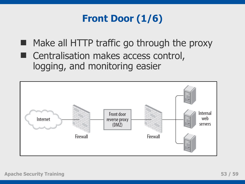# **Front Door (1/6)**

- **Make all HTTP traffic go through the proxy**
- Centralisation makes access control, logging, and monitoring easier

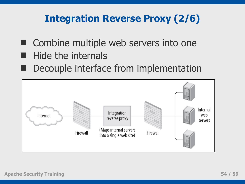# **Integration Reverse Proxy (2/6)**

- Combine multiple web servers into one
- Hide the internals
- Decouple interface from implementation

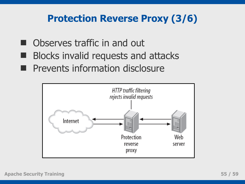### **Protection Reverse Proxy (3/6)**

- Observes traffic in and out
- Blocks invalid requests and attacks
- Prevents information disclosure

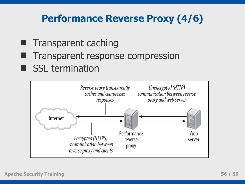# **Performance Reverse Proxy (4/6)**

- $\blacksquare$  Transparent caching
- **Transparent response compression**
- SSL termination

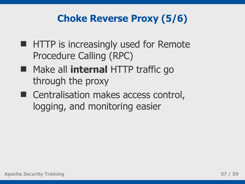# **Choke Reverse Proxy (5/6)**

- **HTTP** is increasingly used for Remote Procedure Calling (RPC)
- **Make all internal HTTP traffic go** through the proxy
- Centralisation makes access control, logging, and monitoring easier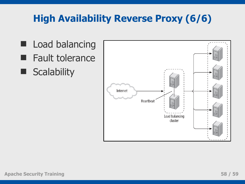# **High Availability Reverse Proxy (6/6)**

 Load balancing Fault tolerance **Scalability**